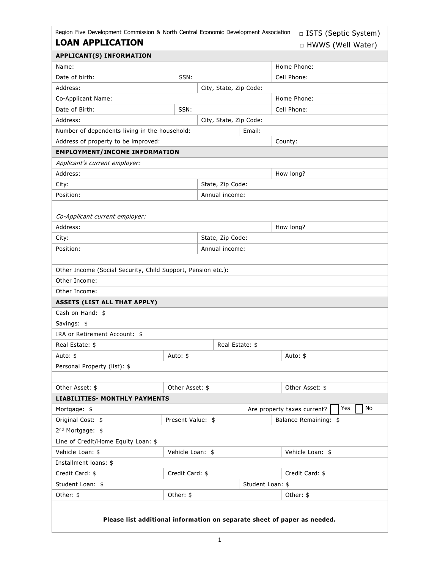| <b>LOAN APPLICATION</b> | □ HWWS (Well Water) |
|-------------------------|---------------------|

| <b>APPLICANT(S) INFORMATION</b>                                          |                                            |                        |        |                 |  |  |
|--------------------------------------------------------------------------|--------------------------------------------|------------------------|--------|-----------------|--|--|
| Name:                                                                    |                                            |                        |        | Home Phone:     |  |  |
| Date of birth:                                                           | SSN:                                       |                        |        | Cell Phone:     |  |  |
| Address:                                                                 |                                            | City, State, Zip Code: |        |                 |  |  |
| Co-Applicant Name:                                                       |                                            |                        |        | Home Phone:     |  |  |
| Date of Birth:                                                           | SSN:                                       |                        |        | Cell Phone:     |  |  |
| Address:                                                                 |                                            | City, State, Zip Code: |        |                 |  |  |
| Number of dependents living in the household:                            |                                            |                        | Email: |                 |  |  |
| Address of property to be improved:                                      |                                            |                        |        | County:         |  |  |
| <b>EMPLOYMENT/INCOME INFORMATION</b>                                     |                                            |                        |        |                 |  |  |
| Applicant's current employer:                                            |                                            |                        |        |                 |  |  |
| Address:                                                                 |                                            |                        |        | How long?       |  |  |
| City:                                                                    | State, Zip Code:                           |                        |        |                 |  |  |
| Position:                                                                |                                            | Annual income:         |        |                 |  |  |
|                                                                          |                                            |                        |        |                 |  |  |
| Co-Applicant current employer:                                           |                                            |                        |        |                 |  |  |
| Address:                                                                 | How long?                                  |                        |        |                 |  |  |
| City:                                                                    |                                            | State, Zip Code:       |        |                 |  |  |
| Position:                                                                | Annual income:                             |                        |        |                 |  |  |
|                                                                          |                                            |                        |        |                 |  |  |
| Other Income (Social Security, Child Support, Pension etc.):             |                                            |                        |        |                 |  |  |
| Other Income:                                                            |                                            |                        |        |                 |  |  |
| Other Income:                                                            |                                            |                        |        |                 |  |  |
| <b>ASSETS (LIST ALL THAT APPLY)</b>                                      |                                            |                        |        |                 |  |  |
| Cash on Hand: \$                                                         |                                            |                        |        |                 |  |  |
| Savings: \$                                                              |                                            |                        |        |                 |  |  |
| IRA or Retirement Account: \$                                            |                                            |                        |        |                 |  |  |
| Real Estate: \$                                                          | Real Estate: \$                            |                        |        |                 |  |  |
| Auto: \$                                                                 | Auto: \$<br>Auto: \$                       |                        |        |                 |  |  |
| Personal Property (list): \$                                             |                                            |                        |        |                 |  |  |
|                                                                          |                                            |                        |        |                 |  |  |
| Other Asset: \$                                                          | Other Asset: \$<br>Other Asset: \$         |                        |        |                 |  |  |
| <b>LIABILITIES- MONTHLY PAYMENTS</b>                                     |                                            |                        |        |                 |  |  |
| No<br>Yes<br>Are property taxes current?<br>Mortgage: \$                 |                                            |                        |        |                 |  |  |
| Original Cost: \$                                                        | Present Value: \$<br>Balance Remaining: \$ |                        |        |                 |  |  |
| 2 <sup>nd</sup> Mortgage: \$                                             |                                            |                        |        |                 |  |  |
| Line of Credit/Home Equity Loan: \$                                      |                                            |                        |        |                 |  |  |
| Vehicle Loan: \$                                                         | Vehicle Loan: \$<br>Vehicle Loan: \$       |                        |        |                 |  |  |
| Installment loans: \$                                                    |                                            |                        |        |                 |  |  |
| Credit Card: \$                                                          | Credit Card: \$                            |                        |        | Credit Card: \$ |  |  |
| Student Loan: \$                                                         | Student Loan: \$                           |                        |        |                 |  |  |
| Other: \$                                                                | Other: \$                                  |                        |        | Other: \$       |  |  |
| Please list additional information on separate sheet of paper as needed. |                                            |                        |        |                 |  |  |